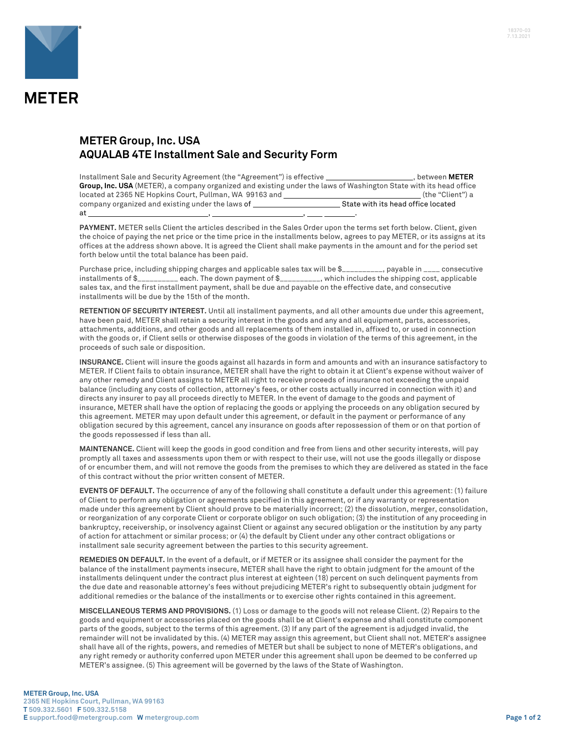

## **METER Group, Inc. USA AQUALAB 4TE Installment Sale and Security Form**

| Installment Sale and Security Agreement (the "Agreement") is effective                                            | , between METER                    |
|-------------------------------------------------------------------------------------------------------------------|------------------------------------|
| Group, Inc. USA (METER), a company organized and existing under the laws of Washington State with its head office |                                    |
| located at 2365 NE Hopkins Court, Pullman, WA 99163 and                                                           | (the "Client") a                   |
| company organized and existing under the laws of                                                                  | State with its head office located |
| at                                                                                                                |                                    |

**PAYMENT.** METER sells Client the articles described in the Sales Order upon the terms set forth below. Client, given the choice of paying the net price or the time price in the installments below, agrees to pay METER, or its assigns at its offices at the address shown above. It is agreed the Client shall make payments in the amount and for the period set forth below until the total balance has been paid.

Purchase price, including shipping charges and applicable sales tax will be \$\_\_\_\_\_\_\_\_\_, payable in \_\_\_\_ consecutive installments of \$\_\_\_\_\_\_\_\_\_\_ each. The down payment of \$\_\_\_\_\_\_\_\_\_\_, which includes the shipping cost, applicable sales tax, and the first installment payment, shall be due and payable on the effective date, and consecutive installments will be due by the 15th of the month.

**RETENTION OF SECURITY INTEREST.** Until all installment payments, and all other amounts due under this agreement, have been paid, METER shall retain a security interest in the goods and any and all equipment, parts, accessories, attachments, additions, and other goods and all replacements of them installed in, affixed to, or used in connection with the goods or, if Client sells or otherwise disposes of the goods in violation of the terms of this agreement, in the proceeds of such sale or disposition.

**INSURANCE.** Client will insure the goods against all hazards in form and amounts and with an insurance satisfactory to METER. If Client fails to obtain insurance, METER shall have the right to obtain it at Client's expense without waiver of any other remedy and Client assigns to METER all right to receive proceeds of insurance not exceeding the unpaid balance (including any costs of collection, attorney's fees, or other costs actually incurred in connection with it) and directs any insurer to pay all proceeds directly to METER. In the event of damage to the goods and payment of insurance, METER shall have the option of replacing the goods or applying the proceeds on any obligation secured by this agreement. METER may upon default under this agreement, or default in the payment or performance of any obligation secured by this agreement, cancel any insurance on goods after repossession of them or on that portion of the goods repossessed if less than all.

**MAINTENANCE.** Client will keep the goods in good condition and free from liens and other security interests, will pay promptly all taxes and assessments upon them or with respect to their use, will not use the goods illegally or dispose of or encumber them, and will not remove the goods from the premises to which they are delivered as stated in the face of this contract without the prior written consent of METER.

**EVENTS OF DEFAULT.** The occurrence of any of the following shall constitute a default under this agreement: (1) failure of Client to perform any obligation or agreements specified in this agreement, or if any warranty or representation made under this agreement by Client should prove to be materially incorrect; (2) the dissolution, merger, consolidation, or reorganization of any corporate Client or corporate obligor on such obligation; (3) the institution of any proceeding in bankruptcy, receivership, or insolvency against Client or against any secured obligation or the institution by any party of action for attachment or similar process; or (4) the default by Client under any other contract obligations or installment sale security agreement between the parties to this security agreement.

**REMEDIES ON DEFAULT.** In the event of a default, or if METER or its assignee shall consider the payment for the balance of the installment payments insecure, METER shall have the right to obtain judgment for the amount of the installments delinquent under the contract plus interest at eighteen (18) percent on such delinquent payments from the due date and reasonable attorney's fees without prejudicing METER's right to subsequently obtain judgment for additional remedies or the balance of the installments or to exercise other rights contained in this agreement.

**MISCELLANEOUS TERMS AND PROVISIONS.** (1) Loss or damage to the goods will not release Client. (2) Repairs to the goods and equipment or accessories placed on the goods shall be at Client's expense and shall constitute component parts of the goods, subject to the terms of this agreement. (3) If any part of the agreement is adjudged invalid, the remainder will not be invalidated by this. (4) METER may assign this agreement, but Client shall not. METER's assignee shall have all of the rights, powers, and remedies of METER but shall be subject to none of METER's obligations, and any right remedy or authority conferred upon METER under this agreement shall upon be deemed to be conferred up METER's assignee. (5) This agreement will be governed by the laws of the State of Washington.